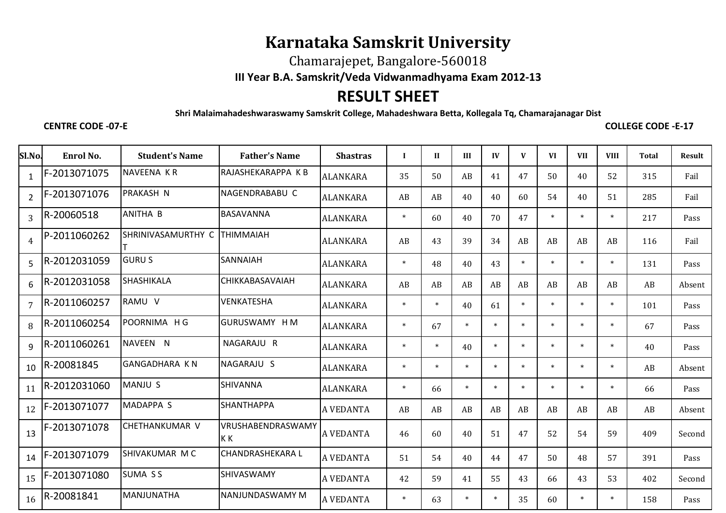## **Karnataka Samskrit University**

Chamarajepet, Bangalore-560018

**III Year B.A. Samskrit/Veda Vidwanmadhyama Exam 2012-13**

## **RESULT SHEET**

**Shri Malaimahadeshwaraswamy Samskrit College, Mahadeshwara Betta, Kollegala Tq, Chamarajanagar Dist**

## **CENTRE CODE -07-E**

**COLLEGE CODE -E-17**

| Sl.No.         | Enrol No.    | <b>Student's Name</b> | <b>Father's Name</b>     | <b>Shastras</b>  | $\mathbf I$ | $\mathbf{I}$ | III    | IV     | V      | <b>VI</b> | <b>VII</b> | <b>VIII</b> | <b>Total</b> | <b>Result</b> |
|----------------|--------------|-----------------------|--------------------------|------------------|-------------|--------------|--------|--------|--------|-----------|------------|-------------|--------------|---------------|
| $\mathbf{1}$   | F-2013071075 | NAVEENA KR            | RAJASHEKARAPPA K B       | <b>ALANKARA</b>  | 35          | 50           | AB     | 41     | 47     | 50        | 40         | 52          | 315          | Fail          |
| $\overline{2}$ | F-2013071076 | <b>PRAKASH N</b>      | NAGENDRABABU C           | <b>ALANKARA</b>  | AB          | AB           | 40     | 40     | 60     | 54        | 40         | 51          | 285          | Fail          |
| $\overline{3}$ | R-20060518   | <b>ANITHA B</b>       | <b>BASAVANNA</b>         | <b>ALANKARA</b>  | $\ast$      | 60           | 40     | 70     | 47     | $\ast$    | $\ast$     | $\ast$      | 217          | Pass          |
| $\overline{4}$ | P-2011060262 | SHRINIVASAMURTHY C    | <b>THIMMAIAH</b>         | <b>ALANKARA</b>  | AB          | 43           | 39     | 34     | AB     | AB        | AB         | AB          | 116          | Fail          |
| 5              | R-2012031059 | <b>GURUS</b>          | SANNAIAH                 | <b>ALANKARA</b>  | $\ast$      | 48           | 40     | 43     | $\ast$ | $\ast$    | $\ast$     | $\ast$      | 131          | Pass          |
| 6              | R-2012031058 | SHASHIKALA            | CHIKKABASAVAIAH          | <b>ALANKARA</b>  | AB          | AB           | AB     | AB     | AB     | AB        | AB         | AB          | AB           | Absent        |
| $\overline{7}$ | R-2011060257 | RAMU V                | VENKATESHA               | <b>ALANKARA</b>  | $\ast$      | $\ast$       | 40     | 61     | $\ast$ | $\ast$    | $\ast$     | $\ast$      | 101          | Pass          |
| 8              | R-2011060254 | POORNIMA HG           | <b>GURUSWAMY HM</b>      | <b>ALANKARA</b>  | $\ast$      | 67           | $\ast$ | $\ast$ | $\ast$ | $\ast$    | $\ast$     | $\ast$      | 67           | Pass          |
| 9              | R-2011060261 | NAVEEN N              | NAGARAJU R               | <b>ALANKARA</b>  | $\ast$      | $\ast$       | 40     | $\ast$ | $\ast$ | $\ast$    | $\ast$     | $\ast$      | 40           | Pass          |
| 10             | R-20081845   | <b>GANGADHARA KN</b>  | NAGARAJU S               | <b>ALANKARA</b>  | $\ast$      | $\ast$       | $\ast$ | $\ast$ | $\ast$ | $\ast$    | $\ast$     | $\ast$      | AB           | Absent        |
| 11             | R-2012031060 | MANJU S               | SHIVANNA                 | <b>ALANKARA</b>  | $\ast$      | 66           | $\ast$ | $\ast$ | $\ast$ | $\ast$    | $\ast$     | $\ast$      | 66           | Pass          |
| 12             | F-2013071077 | <b>MADAPPA S</b>      | <b>SHANTHAPPA</b>        | <b>A VEDANTA</b> | AB          | AB           | AB     | AB     | AB     | AB        | AB         | AB          | AB           | Absent        |
| 13             | F-2013071078 | <b>CHETHANKUMAR V</b> | VRUSHABENDRASWAMY<br>K K | <b>A VEDANTA</b> | 46          | 60           | 40     | 51     | 47     | 52        | 54         | 59          | 409          | Second        |
| 14             | F-2013071079 | SHIVAKUMAR MC         | <b>CHANDRASHEKARA L</b>  | A VEDANTA        | 51          | 54           | 40     | 44     | 47     | 50        | 48         | 57          | 391          | Pass          |
| 15             | F-2013071080 | <b>SUMA SS</b>        | SHIVASWAMY               | <b>A VEDANTA</b> | 42          | 59           | 41     | 55     | 43     | 66        | 43         | 53          | 402          | Second        |
| 16             | R-20081841   | MANJUNATHA            | NANJUNDASWAMY M          | <b>A VEDANTA</b> | $\ast$      | 63           | $\ast$ | $\ast$ | 35     | 60        | $\ast$     | $\ast$      | 158          | Pass          |
|                |              |                       |                          |                  |             |              |        |        |        |           |            |             |              |               |